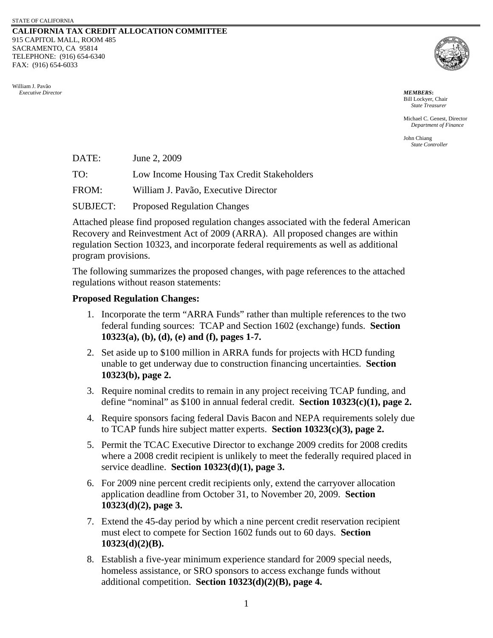## **CALIFORNIA TAX CREDIT ALLOCATION COMMITTEE** 915 CAPITOL MALL, ROOM 485 SACRAMENTO, CA 95814 TELEPHONE: (916) 654-6340 FAX: (916) 654-6033

William J. Pavão  *Executive Director MEMBERS***:**



Bill Lockyer, Chair *State Treasurer*

Michael C. Genest, Director *Department of Finance* 

John Chiang *State Controller*

DATE: June 2, 2009

TO: Low Income Housing Tax Credit Stakeholders

FROM: William J. Pavão, Executive Director

SUBJECT: Proposed Regulation Changes

Attached please find proposed regulation changes associated with the federal American Recovery and Reinvestment Act of 2009 (ARRA). All proposed changes are within regulation Section 10323, and incorporate federal requirements as well as additional program provisions.

The following summarizes the proposed changes, with page references to the attached regulations without reason statements:

## **Proposed Regulation Changes:**

- 1. Incorporate the term "ARRA Funds" rather than multiple references to the two federal funding sources: TCAP and Section 1602 (exchange) funds. **Section 10323(a), (b), (d), (e) and (f), pages 1-7.**
- 2. Set aside up to \$100 million in ARRA funds for projects with HCD funding unable to get underway due to construction financing uncertainties. **Section 10323(b), page 2.**
- 3. Require nominal credits to remain in any project receiving TCAP funding, and define "nominal" as \$100 in annual federal credit. **Section 10323(c)(1), page 2.**
- 4. Require sponsors facing federal Davis Bacon and NEPA requirements solely due to TCAP funds hire subject matter experts. **Section 10323(c)(3), page 2.**
- 5. Permit the TCAC Executive Director to exchange 2009 credits for 2008 credits where a 2008 credit recipient is unlikely to meet the federally required placed in service deadline. **Section 10323(d)(1), page 3.**
- 6. For 2009 nine percent credit recipients only, extend the carryover allocation application deadline from October 31, to November 20, 2009. **Section 10323(d)(2), page 3.**
- 7. Extend the 45-day period by which a nine percent credit reservation recipient must elect to compete for Section 1602 funds out to 60 days. **Section 10323(d)(2)(B).**
- 8. Establish a five-year minimum experience standard for 2009 special needs, homeless assistance, or SRO sponsors to access exchange funds without additional competition. **Section 10323(d)(2)(B), page 4.**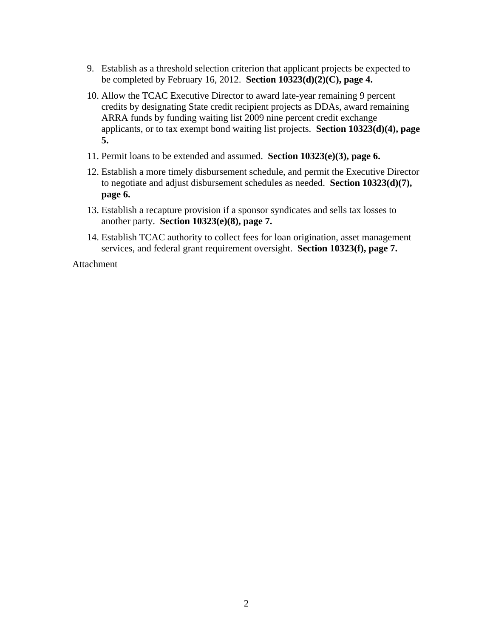- 9. Establish as a threshold selection criterion that applicant projects be expected to be completed by February 16, 2012. **Section 10323(d)(2)(C), page 4.**
- 10. Allow the TCAC Executive Director to award late-year remaining 9 percent credits by designating State credit recipient projects as DDAs, award remaining ARRA funds by funding waiting list 2009 nine percent credit exchange applicants, or to tax exempt bond waiting list projects. **Section 10323(d)(4), page 5.**
- 11. Permit loans to be extended and assumed. **Section 10323(e)(3), page 6.**
- 12. Establish a more timely disbursement schedule, and permit the Executive Director to negotiate and adjust disbursement schedules as needed. **Section 10323(d)(7), page 6.**
- 13. Establish a recapture provision if a sponsor syndicates and sells tax losses to another party. **Section 10323(e)(8), page 7.**
- 14. Establish TCAC authority to collect fees for loan origination, asset management services, and federal grant requirement oversight. **Section 10323(f), page 7.**

Attachment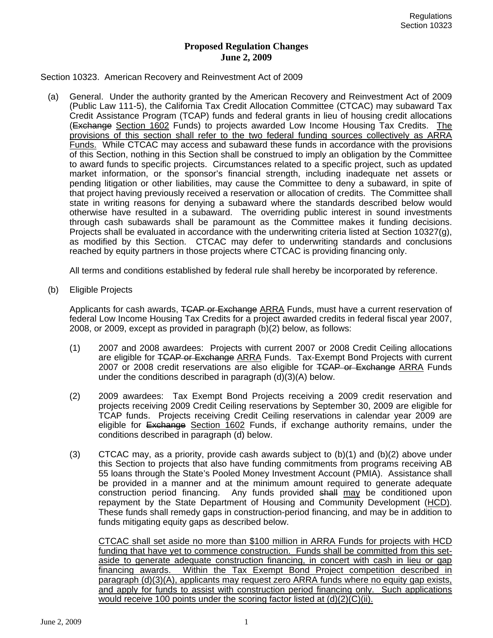## **Proposed Regulation Changes June 2, 2009**

## Section 10323. American Recovery and Reinvestment Act of 2009

(a) General. Under the authority granted by the American Recovery and Reinvestment Act of 2009 (Public Law 111-5), the California Tax Credit Allocation Committee (CTCAC) may subaward Tax Credit Assistance Program (TCAP) funds and federal grants in lieu of housing credit allocations (Exchange Section 1602 Funds) to projects awarded Low Income Housing Tax Credits. The provisions of this section shall refer to the two federal funding sources collectively as ARRA Funds. While CTCAC may access and subaward these funds in accordance with the provisions of this Section, nothing in this Section shall be construed to imply an obligation by the Committee to award funds to specific projects. Circumstances related to a specific project, such as updated market information, or the sponsor's financial strength, including inadequate net assets or pending litigation or other liabilities, may cause the Committee to deny a subaward, in spite of that project having previously received a reservation or allocation of credits. The Committee shall state in writing reasons for denying a subaward where the standards described below would otherwise have resulted in a subaward. The overriding public interest in sound investments through cash subawards shall be paramount as the Committee makes it funding decisions. Projects shall be evaluated in accordance with the underwriting criteria listed at Section 10327(g), as modified by this Section. CTCAC may defer to underwriting standards and conclusions reached by equity partners in those projects where CTCAC is providing financing only.

All terms and conditions established by federal rule shall hereby be incorporated by reference.

(b) Eligible Projects

Applicants for cash awards, TCAP or Exchange ARRA Funds, must have a current reservation of federal Low Income Housing Tax Credits for a project awarded credits in federal fiscal year 2007, 2008, or 2009, except as provided in paragraph (b)(2) below, as follows:

- (1) 2007 and 2008 awardees: Projects with current 2007 or 2008 Credit Ceiling allocations are eligible for TCAP or Exchange ARRA Funds. Tax-Exempt Bond Projects with current 2007 or 2008 credit reservations are also eligible for TCAP or Exchange ARRA Funds under the conditions described in paragraph  $(d)(3)(A)$  below.
- (2) 2009 awardees: Tax Exempt Bond Projects receiving a 2009 credit reservation and projects receiving 2009 Credit Ceiling reservations by September 30, 2009 are eligible for TCAP funds. Projects receiving Credit Ceiling reservations in calendar year 2009 are eligible for Exchange Section 1602 Funds, if exchange authority remains, under the conditions described in paragraph (d) below.
- $(3)$  CTCAC may, as a priority, provide cash awards subject to  $(b)(1)$  and  $(b)(2)$  above under this Section to projects that also have funding commitments from programs receiving AB 55 loans through the State's Pooled Money Investment Account (PMIA). Assistance shall be provided in a manner and at the minimum amount required to generate adequate construction period financing. Any funds provided shall may be conditioned upon repayment by the State Department of Housing and Community Development (HCD). These funds shall remedy gaps in construction-period financing, and may be in addition to funds mitigating equity gaps as described below.

CTCAC shall set aside no more than \$100 million in ARRA Funds for projects with HCD funding that have yet to commence construction. Funds shall be committed from this setaside to generate adequate construction financing, in concert with cash in lieu or gap financing awards. Within the Tax Exempt Bond Project competition described in paragraph (d)(3)(A), applicants may request zero ARRA funds where no equity gap exists, and apply for funds to assist with construction period financing only. Such applications would receive 100 points under the scoring factor listed at (d)(2)(C)(ii).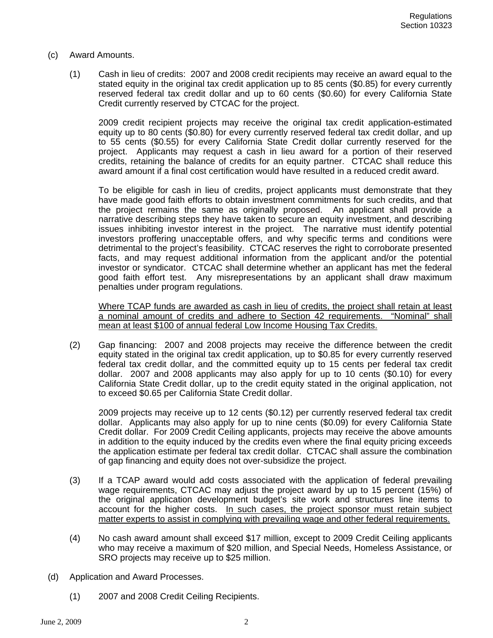- (c) Award Amounts.
	- (1) Cash in lieu of credits: 2007 and 2008 credit recipients may receive an award equal to the stated equity in the original tax credit application up to 85 cents (\$0.85) for every currently reserved federal tax credit dollar and up to 60 cents (\$0.60) for every California State Credit currently reserved by CTCAC for the project.

2009 credit recipient projects may receive the original tax credit application-estimated equity up to 80 cents (\$0.80) for every currently reserved federal tax credit dollar, and up to 55 cents (\$0.55) for every California State Credit dollar currently reserved for the project. Applicants may request a cash in lieu award for a portion of their reserved credits, retaining the balance of credits for an equity partner. CTCAC shall reduce this award amount if a final cost certification would have resulted in a reduced credit award.

To be eligible for cash in lieu of credits, project applicants must demonstrate that they have made good faith efforts to obtain investment commitments for such credits, and that the project remains the same as originally proposed. An applicant shall provide a narrative describing steps they have taken to secure an equity investment, and describing issues inhibiting investor interest in the project. The narrative must identify potential investors proffering unacceptable offers, and why specific terms and conditions were detrimental to the project's feasibility. CTCAC reserves the right to corroborate presented facts, and may request additional information from the applicant and/or the potential investor or syndicator. CTCAC shall determine whether an applicant has met the federal good faith effort test. Any misrepresentations by an applicant shall draw maximum penalties under program regulations.

Where TCAP funds are awarded as cash in lieu of credits, the project shall retain at least a nominal amount of credits and adhere to Section 42 requirements. "Nominal" shall mean at least \$100 of annual federal Low Income Housing Tax Credits.

(2) Gap financing: 2007 and 2008 projects may receive the difference between the credit equity stated in the original tax credit application, up to \$0.85 for every currently reserved federal tax credit dollar, and the committed equity up to 15 cents per federal tax credit dollar. 2007 and 2008 applicants may also apply for up to 10 cents (\$0.10) for every California State Credit dollar, up to the credit equity stated in the original application, not to exceed \$0.65 per California State Credit dollar.

2009 projects may receive up to 12 cents (\$0.12) per currently reserved federal tax credit dollar. Applicants may also apply for up to nine cents (\$0.09) for every California State Credit dollar. For 2009 Credit Ceiling applicants, projects may receive the above amounts in addition to the equity induced by the credits even where the final equity pricing exceeds the application estimate per federal tax credit dollar. CTCAC shall assure the combination of gap financing and equity does not over-subsidize the project.

- (3) If a TCAP award would add costs associated with the application of federal prevailing wage requirements, CTCAC may adjust the project award by up to 15 percent (15%) of the original application development budget's site work and structures line items to account for the higher costs. In such cases, the project sponsor must retain subject matter experts to assist in complying with prevailing wage and other federal requirements.
- (4) No cash award amount shall exceed \$17 million, except to 2009 Credit Ceiling applicants who may receive a maximum of \$20 million, and Special Needs, Homeless Assistance, or SRO projects may receive up to \$25 million.
- (d) Application and Award Processes.
	- (1) 2007 and 2008 Credit Ceiling Recipients.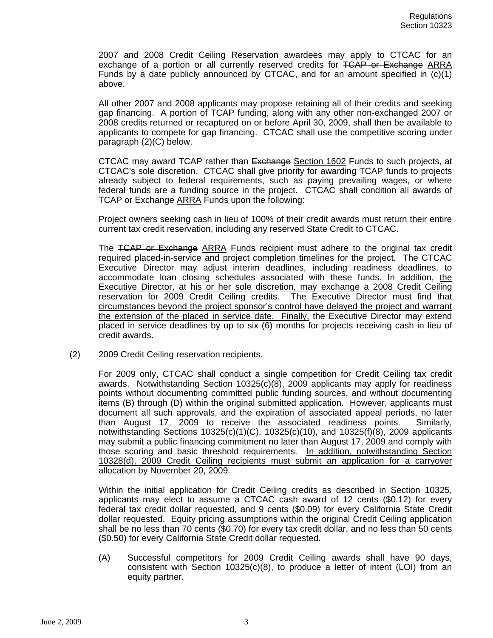2007 and 2008 Credit Ceiling Reservation awardees may apply to CTCAC for an exchange of a portion or all currently reserved credits for TCAP or Exchange ARRA Funds by a date publicly announced by CTCAC, and for an amount specified in  $(c)(1)$ above.

All other 2007 and 2008 applicants may propose retaining all of their credits and seeking gap financing. A portion of TCAP funding, along with any other non-exchanged 2007 or 2008 credits returned or recaptured on or before April 30, 2009, shall then be available to applicants to compete for gap financing. CTCAC shall use the competitive scoring under paragraph (2)(C) below.

CTCAC may award TCAP rather than Exchange Section 1602 Funds to such projects, at CTCAC's sole discretion. CTCAC shall give priority for awarding TCAP funds to projects already subject to federal requirements, such as paying prevailing wages, or where federal funds are a funding source in the project. CTCAC shall condition all awards of TCAP or Exchange ARRA Funds upon the following:

Project owners seeking cash in lieu of 100% of their credit awards must return their entire current tax credit reservation, including any reserved State Credit to CTCAC.

The TCAP or Exchange ARRA Funds recipient must adhere to the original tax credit required placed-in-service and project completion timelines for the project. The CTCAC Executive Director may adjust interim deadlines, including readiness deadlines, to accommodate loan closing schedules associated with these funds. In addition, the Executive Director, at his or her sole discretion, may exchange a 2008 Credit Ceiling reservation for 2009 Credit Ceiling credits. The Executive Director must find that circumstances beyond the project sponsor's control have delayed the project and warrant the extension of the placed in service date. Finally, the Executive Director may extend placed in service deadlines by up to six (6) months for projects receiving cash in lieu of credit awards.

(2) 2009 Credit Ceiling reservation recipients.

For 2009 only, CTCAC shall conduct a single competition for Credit Ceiling tax credit awards. Notwithstanding Section 10325(c)(8), 2009 applicants may apply for readiness points without documenting committed public funding sources, and without documenting items (B) through (D) within the original submitted application. However, applicants must document all such approvals, and the expiration of associated appeal periods, no later than August 17, 2009 to receive the associated readiness points. Similarly, notwithstanding Sections 10325(c)(1)(C), 10325(c)(10), and 10325(f)(8), 2009 applicants may submit a public financing commitment no later than August 17, 2009 and comply with those scoring and basic threshold requirements. In addition, notwithstanding Section 10328(d), 2009 Credit Ceiling recipients must submit an application for a carryover allocation by November 20, 2009.

Within the initial application for Credit Ceiling credits as described in Section 10325, applicants may elect to assume a CTCAC cash award of 12 cents (\$0.12) for every federal tax credit dollar requested, and 9 cents (\$0.09) for every California State Credit dollar requested. Equity pricing assumptions within the original Credit Ceiling application shall be no less than 70 cents (\$0.70) for every tax credit dollar, and no less than 50 cents (\$0.50) for every California State Credit dollar requested.

(A) Successful competitors for 2009 Credit Ceiling awards shall have 90 days, consistent with Section  $10325(c)(8)$ , to produce a letter of intent (LOI) from an equity partner.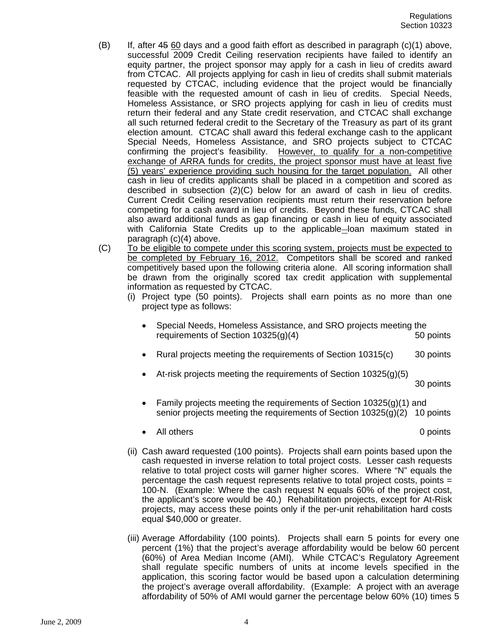- (B) If, after 45 60 days and a good faith effort as described in paragraph (c)(1) above, successful 2009 Credit Ceiling reservation recipients have failed to identify an equity partner, the project sponsor may apply for a cash in lieu of credits award from CTCAC. All projects applying for cash in lieu of credits shall submit materials requested by CTCAC, including evidence that the project would be financially feasible with the requested amount of cash in lieu of credits. Special Needs, Homeless Assistance, or SRO projects applying for cash in lieu of credits must return their federal and any State credit reservation, and CTCAC shall exchange all such returned federal credit to the Secretary of the Treasury as part of its grant election amount. CTCAC shall award this federal exchange cash to the applicant Special Needs, Homeless Assistance, and SRO projects subject to CTCAC confirming the project's feasibility. However, to qualify for a non-competitive exchange of ARRA funds for credits, the project sponsor must have at least five (5) years' experience providing such housing for the target population. All other cash in lieu of credits applicants shall be placed in a competition and scored as described in subsection (2)(C) below for an award of cash in lieu of credits. Current Credit Ceiling reservation recipients must return their reservation before competing for a cash award in lieu of credits. Beyond these funds, CTCAC shall also award additional funds as gap financing or cash in lieu of equity associated with California State Credits up to the applicable-loan maximum stated in paragraph (c)(4) above.
- (C) To be eligible to compete under this scoring system, projects must be expected to be completed by February 16, 2012. Competitors shall be scored and ranked competitively based upon the following criteria alone. All scoring information shall be drawn from the originally scored tax credit application with supplemental information as requested by CTCAC.
	- (i) Project type (50 points). Projects shall earn points as no more than one project type as follows:
		- Special Needs, Homeless Assistance, and SRO projects meeting the requirements of Section 10325(g)(4) 50 points
		- Rural projects meeting the requirements of Section 10315(c) 30 points
		- At-risk projects meeting the requirements of Section 10325(g)(5)

30 points

- Family projects meeting the requirements of Section 10325(g)(1) and senior projects meeting the requirements of Section 10325(g)(2) 10 points
- All others 0 points
- (ii) Cash award requested (100 points). Projects shall earn points based upon the cash requested in inverse relation to total project costs. Lesser cash requests relative to total project costs will garner higher scores. Where "N" equals the percentage the cash request represents relative to total project costs, points = 100-N. (Example: Where the cash request N equals 60% of the project cost, the applicant's score would be 40.) Rehabilitation projects, except for At-Risk projects, may access these points only if the per-unit rehabilitation hard costs equal \$40,000 or greater.
- (iii) Average Affordability (100 points). Projects shall earn 5 points for every one percent (1%) that the project's average affordability would be below 60 percent (60%) of Area Median Income (AMI). While CTCAC's Regulatory Agreement shall regulate specific numbers of units at income levels specified in the application, this scoring factor would be based upon a calculation determining the project's average overall affordability. (Example: A project with an average affordability of 50% of AMI would garner the percentage below 60% (10) times 5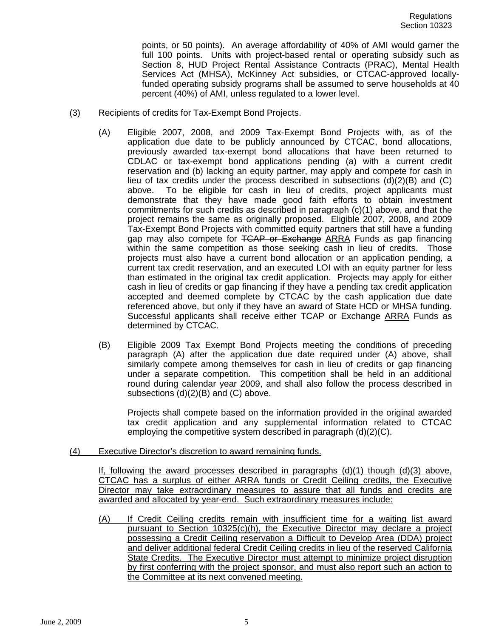points, or 50 points). An average affordability of 40% of AMI would garner the full 100 points. Units with project-based rental or operating subsidy such as Section 8, HUD Project Rental Assistance Contracts (PRAC), Mental Health Services Act (MHSA), McKinney Act subsidies, or CTCAC-approved locallyfunded operating subsidy programs shall be assumed to serve households at 40 percent (40%) of AMI, unless regulated to a lower level.

- (3) Recipients of credits for Tax-Exempt Bond Projects.
	- (A) Eligible 2007, 2008, and 2009 Tax-Exempt Bond Projects with, as of the application due date to be publicly announced by CTCAC, bond allocations, previously awarded tax-exempt bond allocations that have been returned to CDLAC or tax-exempt bond applications pending (a) with a current credit reservation and (b) lacking an equity partner, may apply and compete for cash in lieu of tax credits under the process described in subsections  $(d)(2)(B)$  and  $(C)$ above. To be eligible for cash in lieu of credits, project applicants must demonstrate that they have made good faith efforts to obtain investment commitments for such credits as described in paragraph (c)(1) above, and that the project remains the same as originally proposed. Eligible 2007, 2008, and 2009 Tax-Exempt Bond Projects with committed equity partners that still have a funding gap may also compete for TCAP or Exchange ARRA Funds as gap financing within the same competition as those seeking cash in lieu of credits. Those projects must also have a current bond allocation or an application pending, a current tax credit reservation, and an executed LOI with an equity partner for less than estimated in the original tax credit application. Projects may apply for either cash in lieu of credits or gap financing if they have a pending tax credit application accepted and deemed complete by CTCAC by the cash application due date referenced above, but only if they have an award of State HCD or MHSA funding. Successful applicants shall receive either TCAP or Exchange ARRA Funds as determined by CTCAC.
	- (B) Eligible 2009 Tax Exempt Bond Projects meeting the conditions of preceding paragraph (A) after the application due date required under (A) above, shall similarly compete among themselves for cash in lieu of credits or gap financing under a separate competition. This competition shall be held in an additional round during calendar year 2009, and shall also follow the process described in subsections (d)(2)(B) and (C) above.

Projects shall compete based on the information provided in the original awarded tax credit application and any supplemental information related to CTCAC employing the competitive system described in paragraph (d)(2)(C).

(4) Executive Director's discretion to award remaining funds.

If, following the award processes described in paragraphs  $(d)(1)$  though  $(d)(3)$  above, CTCAC has a surplus of either ARRA funds or Credit Ceiling credits, the Executive Director may take extraordinary measures to assure that all funds and credits are awarded and allocated by year-end. Such extraordinary measures include:

(A) If Credit Ceiling credits remain with insufficient time for a waiting list award pursuant to Section 10325(c)(h), the Executive Director may declare a project possessing a Credit Ceiling reservation a Difficult to Develop Area (DDA) project and deliver additional federal Credit Ceiling credits in lieu of the reserved California State Credits. The Executive Director must attempt to minimize project disruption by first conferring with the project sponsor, and must also report such an action to the Committee at its next convened meeting.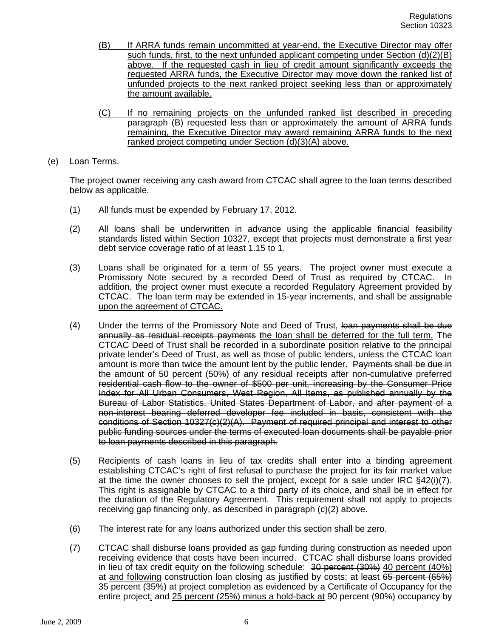- (B) If ARRA funds remain uncommitted at year-end, the Executive Director may offer such funds, first, to the next unfunded applicant competing under Section (d)(2)(B) above. If the requested cash in lieu of credit amount significantly exceeds the requested ARRA funds, the Executive Director may move down the ranked list of unfunded projects to the next ranked project seeking less than or approximately the amount available.
- (C) If no remaining projects on the unfunded ranked list described in preceding paragraph (B) requested less than or approximately the amount of ARRA funds remaining, the Executive Director may award remaining ARRA funds to the next ranked project competing under Section (d)(3)(A) above.
- (e) Loan Terms.

The project owner receiving any cash award from CTCAC shall agree to the loan terms described below as applicable.

- (1) All funds must be expended by February 17, 2012.
- (2) All loans shall be underwritten in advance using the applicable financial feasibility standards listed within Section 10327, except that projects must demonstrate a first year debt service coverage ratio of at least 1.15 to 1.
- (3) Loans shall be originated for a term of 55 years. The project owner must execute a Promissory Note secured by a recorded Deed of Trust as required by CTCAC. In addition, the project owner must execute a recorded Regulatory Agreement provided by CTCAC. The loan term may be extended in 15-year increments, and shall be assignable upon the agreement of CTCAC.
- (4) Under the terms of the Promissory Note and Deed of Trust, loan payments shall be due annually as residual receipts payments the loan shall be deferred for the full term. The CTCAC Deed of Trust shall be recorded in a subordinate position relative to the principal private lender's Deed of Trust, as well as those of public lenders, unless the CTCAC loan amount is more than twice the amount lent by the public lender. Payments shall be due in the amount of 50 percent (50%) of any residual receipts after non-cumulative preferred residential cash flow to the owner of \$500 per unit, increasing by the Consumer Price Index for All Urban Consumers, West Region, All Items, as published annually by the Bureau of Labor Statistics, United States Department of Labor, and after payment of a non-interest bearing deferred developer fee included in basis, consistent with the conditions of Section 10327(c)(2)(A). Payment of required principal and interest to other public funding sources under the terms of executed loan documents shall be payable prior to loan payments described in this paragraph.
- (5) Recipients of cash loans in lieu of tax credits shall enter into a binding agreement establishing CTCAC's right of first refusal to purchase the project for its fair market value at the time the owner chooses to sell the project, except for a sale under IRC §42(i)(7). This right is assignable by CTCAC to a third party of its choice, and shall be in effect for the duration of the Regulatory Agreement. This requirement shall not apply to projects receiving gap financing only, as described in paragraph (c)(2) above.
- (6) The interest rate for any loans authorized under this section shall be zero.
- (7) CTCAC shall disburse loans provided as gap funding during construction as needed upon receiving evidence that costs have been incurred. CTCAC shall disburse loans provided in lieu of tax credit equity on the following schedule: 30 percent (30%) 40 percent (40%) at and following construction loan closing as justified by costs; at least 65 percent (65%) 35 percent (35%) at project completion as evidenced by a Certificate of Occupancy for the entire project; and 25 percent (25%) minus a hold-back at 90 percent (90%) occupancy by